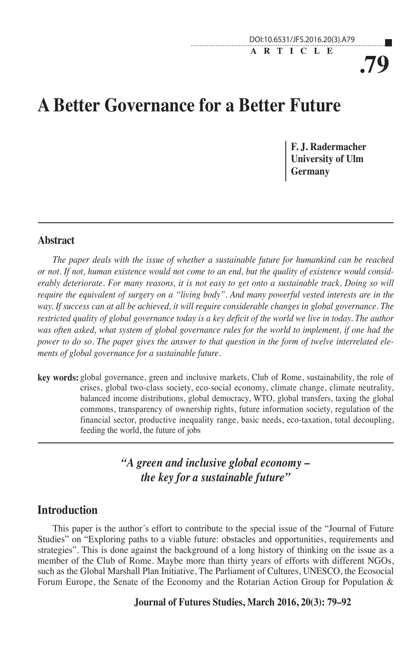**ARTICLE**

**.79**

# **A Better Governance for a Better Future**

**F. J. Radermacher University of Ulm Germany**

### **Abstract**

*The paper deals with the issue of whether a sustainable future for humankind can be reached or not. If not, human existence would not come to an end, but the quality of existence would considerably deteriorate. For many reasons, it is not easy to get onto a sustainable track. Doing so will require the equivalent of surgery on a "living body". And many powerful vested interests are in the way. If success can at all be achieved, it will require considerable changes in global governance. The restricted quality of global governance today is a key deficit of the world we live in today. The author was often asked, what system of global governance rules for the world to implement, if one had the power to do so. The paper gives the answer to that question in the form of twelve interrelated elements of global governance for a sustainable future.* 

**key words:** global governance, green and inclusive markets, Club of Rome, sustainability, the role of crises, global two-class society, eco-social economy, climate change, climate neutrality, balanced income distributions, global democracy, WTO, global transfers, taxing the global commons, transparency of ownership rights, future information society, regulation of the financial sector, productive inequality range, basic needs, eco-taxation, total decoupling, feeding the world, the future of jobs

> *"A green and inclusive global economy – the key for a sustainable future"*

# **Introduction**

This paper is the author´s effort to contribute to the special issue of the "Journal of Future Studies" on "Exploring paths to a viable future: obstacles and opportunities, requirements and strategies". This is done against the background of a long history of thinking on the issue as a member of the Club of Rome. Maybe more than thirty years of efforts with different NGOs, such as the Global Marshall Plan Initiative, The Parliament of Cultures, UNESCO, the Ecosocial Forum Europe, the Senate of the Economy and the Rotarian Action Group for Population &

#### **Journal of Futures Studies, March 2016, 20(3): 79–92**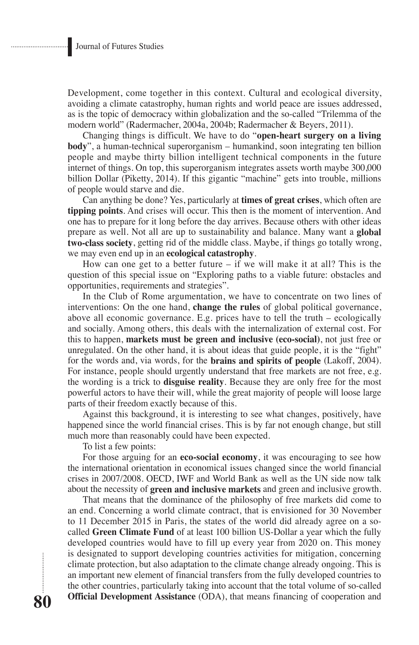Development, come together in this context. Cultural and ecological diversity, avoiding a climate catastrophy, human rights and world peace are issues addressed, as is the topic of democracy within globalization and the so-called "Trilemma of the modern world" (Radermacher, 2004a, 2004b; Radermacher & Beyers, 2011).

Changing things is difficult. We have to do "**open-heart surgery on a living body**", a human-technical superorganism – humankind, soon integrating ten billion people and maybe thirty billion intelligent technical components in the future internet of things. On top, this superorganism integrates assets worth maybe 300,000 billion Dollar (Piketty, 2014). If this gigantic "machine" gets into trouble, millions of people would starve and die.

Can anything be done? Yes, particularly at **times of great crises**, which often are **tipping points**. And crises will occur. This then is the moment of intervention. And one has to prepare for it long before the day arrives. Because others with other ideas prepare as well. Not all are up to sustainability and balance. Many want a **global two-class society**, getting rid of the middle class. Maybe, if things go totally wrong, we may even end up in an **ecological catastrophy**.

How can one get to a better future  $-$  if we will make it at all? This is the question of this special issue on "Exploring paths to a viable future: obstacles and opportunities, requirements and strategies".

In the Club of Rome argumentation, we have to concentrate on two lines of interventions: On the one hand, **change the rules** of global political governance, above all economic governance. E.g. prices have to tell the truth – ecologically and socially. Among others, this deals with the internalization of external cost. For this to happen, **markets must be green and inclusive (eco-social)**, not just free or unregulated. On the other hand, it is about ideas that guide people, it is the "fight" for the words and, via words, for the **brains and spirits of people** (Lakoff, 2004). For instance, people should urgently understand that free markets are not free, e.g. the wording is a trick to **disguise reality**. Because they are only free for the most powerful actors to have their will, while the great majority of people will loose large parts of their freedom exactly because of this.

Against this background, it is interesting to see what changes, positively, have happened since the world financial crises. This is by far not enough change, but still much more than reasonably could have been expected.

To list a few points:

For those arguing for an **eco-social economy**, it was encouraging to see how the international orientation in economical issues changed since the world financial crises in 2007/2008. OECD, IWF and World Bank as well as the UN side now talk about the necessity of **green and inclusive markets** and green and inclusive growth.

That means that the dominance of the philosophy of free markets did come to an end. Concerning a world climate contract, that is envisioned for 30 November to 11 December 2015 in Paris, the states of the world did already agree on a socalled **Green Climate Fund** of at least 100 billion US-Dollar a year which the fully developed countries would have to fill up every year from 2020 on. This money is designated to support developing countries activities for mitigation, concerning climate protection, but also adaptation to the climate change already ongoing. This is an important new element of financial transfers from the fully developed countries to the other countries, particularly taking into account that the total volume of so-called **Official Development Assistance** (ODA), that means financing of cooperation and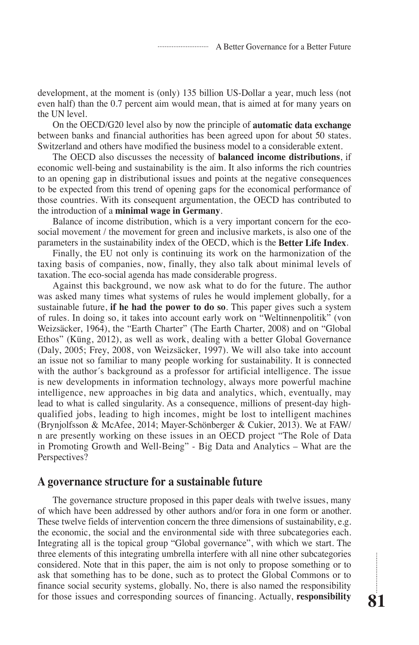development, at the moment is (only) 135 billion US-Dollar a year, much less (not even half) than the 0.7 percent aim would mean, that is aimed at for many years on the UN level.

On the OECD/G20 level also by now the principle of **automatic data exchange** between banks and financial authorities has been agreed upon for about 50 states. Switzerland and others have modified the business model to a considerable extent.

The OECD also discusses the necessity of **balanced income distributions**, if economic well-being and sustainability is the aim. It also informs the rich countries to an opening gap in distributional issues and points at the negative consequences to be expected from this trend of opening gaps for the economical performance of those countries. With its consequent argumentation, the OECD has contributed to the introduction of a **minimal wage in Germany**.

Balance of income distribution, which is a very important concern for the ecosocial movement / the movement for green and inclusive markets, is also one of the parameters in the sustainability index of the OECD, which is the **Better Life Index**.

Finally, the EU not only is continuing its work on the harmonization of the taxing basis of companies, now, finally, they also talk about minimal levels of taxation. The eco-social agenda has made considerable progress.

Against this background, we now ask what to do for the future. The author was asked many times what systems of rules he would implement globally, for a sustainable future, **if he had the power to do so**. This paper gives such a system of rules. In doing so, it takes into account early work on "Weltinnenpolitik" (von Weizsäcker, 1964), the "Earth Charter" (The Earth Charter, 2008) and on "Global Ethos" (Küng, 2012), as well as work, dealing with a better Global Governance (Daly, 2005; Frey, 2008, von Weizsäcker, 1997). We will also take into account an issue not so familiar to many people working for sustainability. It is connected with the author's background as a professor for artificial intelligence. The issue is new developments in information technology, always more powerful machine intelligence, new approaches in big data and analytics, which, eventually, may lead to what is called singularity. As a consequence, millions of present-day highqualified jobs, leading to high incomes, might be lost to intelligent machines (Brynjolfsson & McAfee, 2014; Mayer-Schönberger & Cukier, 2013). We at FAW/ n are presently working on these issues in an OECD project "The Role of Data in Promoting Growth and Well-Being" - Big Data and Analytics – What are the Perspectives?

### **A governance structure for a sustainable future**

The governance structure proposed in this paper deals with twelve issues, many of which have been addressed by other authors and/or fora in one form or another. These twelve fields of intervention concern the three dimensions of sustainability, e.g. the economic, the social and the environmental side with three subcategories each. Integrating all is the topical group "Global governance", with which we start. The three elements of this integrating umbrella interfere with all nine other subcategories considered. Note that in this paper, the aim is not only to propose something or to ask that something has to be done, such as to protect the Global Commons or to finance social security systems, globally. No, there is also named the responsibility for those issues and corresponding sources of financing. Actually, **responsibility**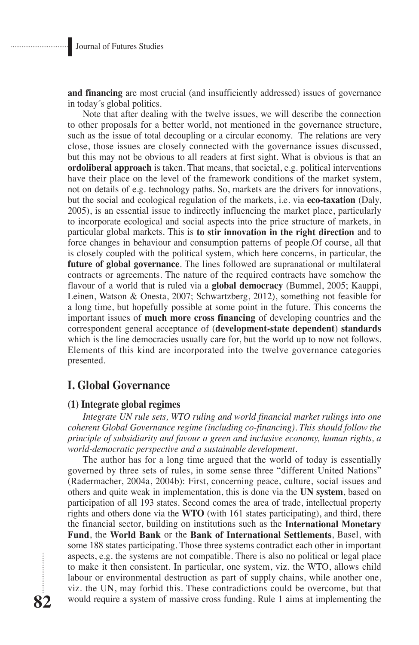**and financing** are most crucial (and insufficiently addressed) issues of governance in today´s global politics.

Note that after dealing with the twelve issues, we will describe the connection to other proposals for a better world, not mentioned in the governance structure, such as the issue of total decoupling or a circular economy. The relations are very close, those issues are closely connected with the governance issues discussed, but this may not be obvious to all readers at first sight. What is obvious is that an **ordoliberal approach** is taken. That means, that societal, e.g. political interventions have their place on the level of the framework conditions of the market system, not on details of e.g. technology paths. So, markets are the drivers for innovations, but the social and ecological regulation of the markets, i.e. via **eco-taxation** (Daly, 2005), is an essential issue to indirectly influencing the market place, particularly to incorporate ecological and social aspects into the price structure of markets, in particular global markets. This is **to stir innovation in the right direction** and to force changes in behaviour and consumption patterns of people.Of course, all that is closely coupled with the political system, which here concerns, in particular, the **future of global governance**. The lines followed are supranational or multilateral contracts or agreements. The nature of the required contracts have somehow the flavour of a world that is ruled via a **global democracy** (Bummel, 2005; Kauppi, Leinen, Watson & Onesta, 2007; Schwartzberg, 2012), something not feasible for a long time, but hopefully possible at some point in the future. This concerns the important issues of **much more cross financing** of developing countries and the correspondent general acceptance of (**development-state dependent**) **standards** which is the line democracies usually care for, but the world up to now not follows. Elements of this kind are incorporated into the twelve governance categories presented.

# **I. Global Governance**

### **(1) Integrate global regimes**

*Integrate UN rule sets, WTO ruling and world financial market rulings into one coherent Global Governance regime (including co-financing). This should follow the principle of subsidiarity and favour a green and inclusive economy, human rights, a world-democratic perspective and a sustainable development.*

The author has for a long time argued that the world of today is essentially governed by three sets of rules, in some sense three "different United Nations" (Radermacher, 2004a, 2004b): First, concerning peace, culture, social issues and others and quite weak in implementation, this is done via the **UN system**, based on participation of all 193 states. Second comes the area of trade, intellectual property rights and others done via the **WTO** (with 161 states participating), and third, there the financial sector, building on institutions such as the **International Monetary Fund**, the **World Bank** or the **Bank of International Settlements**, Basel, with some 188 states participating. Those three systems contradict each other in important aspects, e.g. the systems are not compatible. There is also no political or legal place to make it then consistent. In particular, one system, viz. the WTO, allows child labour or environmental destruction as part of supply chains, while another one, viz. the UN, may forbid this. These contradictions could be overcome, but that would require a system of massive cross funding. Rule 1 aims at implementing the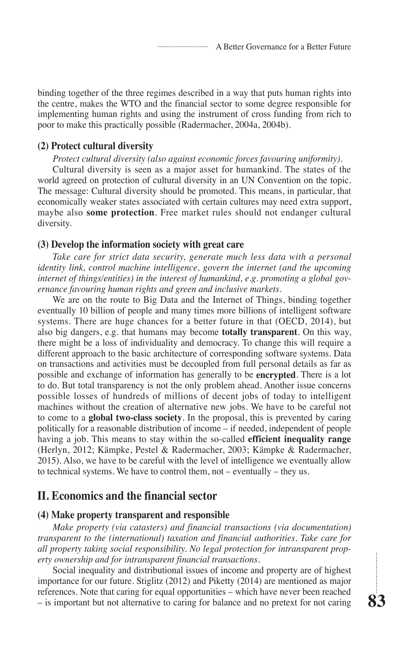binding together of the three regimes described in a way that puts human rights into the centre, makes the WTO and the financial sector to some degree responsible for implementing human rights and using the instrument of cross funding from rich to poor to make this practically possible (Radermacher, 2004a, 2004b).

### **(2) Protect cultural diversity**

*Protect cultural diversity (also against economic forces favouring uniformity).*

Cultural diversity is seen as a major asset for humankind. The states of the world agreed on protection of cultural diversity in an UN Convention on the topic. The message: Cultural diversity should be promoted. This means, in particular, that economically weaker states associated with certain cultures may need extra support, maybe also **some protection**. Free market rules should not endanger cultural diversity.

### **(3) Develop the information society with great care**

*Take care for strict data security, generate much less data with a personal identity link, control machine intelligence, govern the internet (and the upcoming internet of things/entities) in the interest of humankind, e.g. promoting a global governance favouring human rights and green and inclusive markets.*

We are on the route to Big Data and the Internet of Things, binding together eventually 10 billion of people and many times more billions of intelligent software systems. There are huge chances for a better future in that (OECD, 2014), but also big dangers, e.g. that humans may become **totally transparent**. On this way, there might be a loss of individuality and democracy. To change this will require a different approach to the basic architecture of corresponding software systems. Data on transactions and activities must be decoupled from full personal details as far as possible and exchange of information has generally to be **encrypted**. There is a lot to do. But total transparency is not the only problem ahead. Another issue concerns possible losses of hundreds of millions of decent jobs of today to intelligent machines without the creation of alternative new jobs. We have to be careful not to come to a **global two-class society**. In the proposal, this is prevented by caring politically for a reasonable distribution of income – if needed, independent of people having a job. This means to stay within the so-called **efficient inequality range** (Herlyn, 2012; Kämpke, Pestel & Radermacher, 2003; Kämpke & Radermacher, 2015). Also, we have to be careful with the level of intelligence we eventually allow to technical systems. We have to control them, not – eventually – they us.

# **II. Economics and the financial sector**

#### **(4) Make property transparent and responsible**

*Make property (via catasters) and financial transactions (via documentation) transparent to the (international) taxation and financial authorities. Take care for all property taking social responsibility. No legal protection for intransparent property ownership and for intransparent financial transactions.*

Social inequality and distributional issues of income and property are of highest importance for our future. Stiglitz (2012) and Piketty (2014) are mentioned as major references. Note that caring for equal opportunities – which have never been reached – is important but not alternative to caring for balance and no pretext for not caring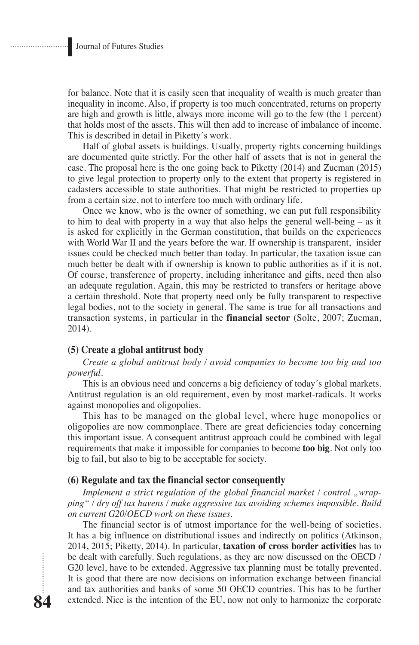for balance. Note that it is easily seen that inequality of wealth is much greater than inequality in income. Also, if property is too much concentrated, returns on property are high and growth is little, always more income will go to the few (the 1 percent) that holds most of the assets. This will then add to increase of imbalance of income. This is described in detail in Piketty´s work.

Half of global assets is buildings. Usually, property rights concerning buildings are documented quite strictly. For the other half of assets that is not in general the case. The proposal here is the one going back to Piketty (2014) and Zucman (2015) to give legal protection to property only to the extent that property is registered in cadasters accessible to state authorities. That might be restricted to properties up from a certain size, not to interfere too much with ordinary life.

Once we know, who is the owner of something, we can put full responsibility to him to deal with property in a way that also helps the general well-being – as it is asked for explicitly in the German constitution, that builds on the experiences with World War II and the years before the war. If ownership is transparent, insider issues could be checked much better than today. In particular, the taxation issue can much better be dealt with if ownership is known to public authorities as if it is not. Of course, transference of property, including inheritance and gifts, need then also an adequate regulation. Again, this may be restricted to transfers or heritage above a certain threshold. Note that property need only be fully transparent to respective legal bodies, not to the society in general. The same is true for all transactions and transaction systems, in particular in the **financial sector** (Solte, 2007; Zucman, 2014).

#### **(5) Create a global antitrust body**

*Create a global antitrust body / avoid companies to become too big and too powerful.*

This is an obvious need and concerns a big deficiency of today´s global markets. Antitrust regulation is an old requirement, even by most market-radicals. It works against monopolies and oligopolies.

This has to be managed on the global level, where huge monopolies or oligopolies are now commonplace. There are great deficiencies today concerning this important issue. A consequent antitrust approach could be combined with legal requirements that make it impossible for companies to become **too big**. Not only too big to fail, but also to big to be acceptable for society.

### **(6) Regulate and tax the financial sector consequently**

*Implement a strict regulation of the global financial market / control "wrapping" / dry off tax havens / make aggressive tax avoiding schemes impossible. Build on current G20/OECD work on these issues.*

The financial sector is of utmost importance for the well-being of societies. It has a big influence on distributional issues and indirectly on politics (Atkinson, 2014, 2015; Piketty, 2014). In particular, **taxation of cross border activities** has to be dealt with carefully. Such regulations, as they are now discussed on the OECD / G20 level, have to be extended. Aggressive tax planning must be totally prevented. It is good that there are now decisions on information exchange between financial and tax authorities and banks of some 50 OECD countries. This has to be further extended. Nice is the intention of the EU, now not only to harmonize the corporate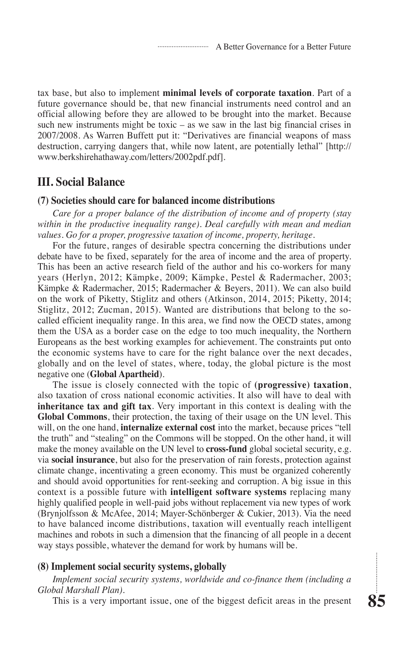tax base, but also to implement **minimal levels of corporate taxation**. Part of a future governance should be, that new financial instruments need control and an official allowing before they are allowed to be brought into the market. Because such new instruments might be toxic  $-$  as we saw in the last big financial crises in 2007/2008. As Warren Buffett put it: "Derivatives are financial weapons of mass destruction, carrying dangers that, while now latent, are potentially lethal" [http:// www.berkshirehathaway.com/letters/2002pdf.pdf].

# **III. Social Balance**

#### **(7) Societies should care for balanced income distributions**

*Care for a proper balance of the distribution of income and of property (stay within in the productive inequality range). Deal carefully with mean and median values. Go for a proper, progressive taxation of income, property, heritage.*

For the future, ranges of desirable spectra concerning the distributions under debate have to be fixed, separately for the area of income and the area of property. This has been an active research field of the author and his co-workers for many years (Herlyn, 2012; Kämpke, 2009; Kämpke, Pestel & Radermacher, 2003; Kämpke & Radermacher, 2015; Radermacher & Beyers, 2011). We can also build on the work of Piketty, Stiglitz and others (Atkinson, 2014, 2015; Piketty, 2014; Stiglitz, 2012; Zucman, 2015). Wanted are distributions that belong to the socalled efficient inequality range. In this area, we find now the OECD states, among them the USA as a border case on the edge to too much inequality, the Northern Europeans as the best working examples for achievement. The constraints put onto the economic systems have to care for the right balance over the next decades, globally and on the level of states, where, today, the global picture is the most negative one (**Global Apartheid**).

The issue is closely connected with the topic of **(progressive) taxation**, also taxation of cross national economic activities. It also will have to deal with **inheritance tax and gift tax**. Very important in this context is dealing with the **Global Commons**, their protection, the taxing of their usage on the UN level. This will, on the one hand, **internalize external cost** into the market, because prices "tell the truth" and "stealing" on the Commons will be stopped. On the other hand, it will make the money available on the UN level to **cross-fund** global societal security, e.g. via **social insurance**, but also for the preservation of rain forests, protection against climate change, incentivating a green economy. This must be organized coherently and should avoid opportunities for rent-seeking and corruption. A big issue in this context is a possible future with **intelligent software systems** replacing many highly qualified people in well-paid jobs without replacement via new types of work (Brynjolfsson & McAfee, 2014; Mayer-Schönberger & Cukier, 2013). Via the need to have balanced income distributions, taxation will eventually reach intelligent machines and robots in such a dimension that the financing of all people in a decent way stays possible, whatever the demand for work by humans will be.

### **(8) Implement social security systems, globally**

*Implement social security systems, worldwide and co-finance them (including a Global Marshall Plan).*

This is a very important issue, one of the biggest deficit areas in the present

 $\vdots$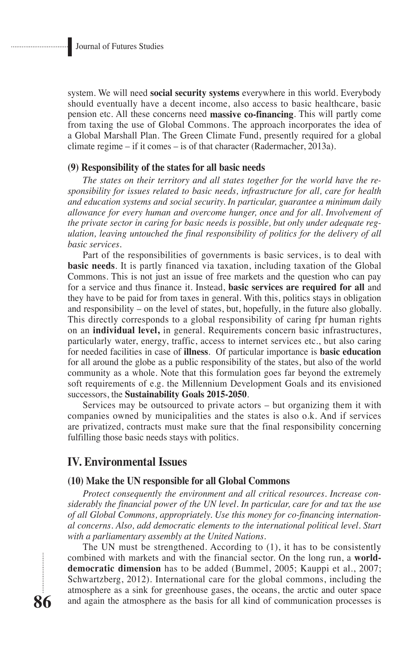system. We will need **social security systems** everywhere in this world. Everybody should eventually have a decent income, also access to basic healthcare, basic pension etc. All these concerns need **massive co-financing**. This will partly come from taxing the use of Global Commons. The approach incorporates the idea of a Global Marshall Plan. The Green Climate Fund, presently required for a global climate regime – if it comes – is of that character (Radermacher, 2013a).

### **(9) Responsibility of the states for all basic needs**

*The states on their territory and all states together for the world have the responsibility for issues related to basic needs, infrastructure for all, care for health and education systems and social security. In particular, guarantee a minimum daily allowance for every human and overcome hunger, once and for all. Involvement of the private sector in caring for basic needs is possible, but only under adequate regulation, leaving untouched the final responsibility of politics for the delivery of all basic services.*

Part of the responsibilities of governments is basic services, is to deal with **basic needs**. It is partly financed via taxation, including taxation of the Global Commons. This is not just an issue of free markets and the question who can pay for a service and thus finance it. Instead, **basic services are required for all** and they have to be paid for from taxes in general. With this, politics stays in obligation and responsibility – on the level of states, but, hopefully, in the future also globally. This directly corresponds to a global responsibility of caring fpr human rights on an **individual level,** in general. Requirements concern basic infrastructures, particularly water, energy, traffic, access to internet services etc., but also caring for needed facilities in case of **illness**. Of particular importance is **basic education** for all around the globe as a public responsibility of the states, but also of the world community as a whole. Note that this formulation goes far beyond the extremely soft requirements of e.g. the Millennium Development Goals and its envisioned successors, the **Sustainability Goals 2015-2050**.

Services may be outsourced to private actors – but organizing them it with companies owned by municipalities and the states is also o.k. And if services are privatized, contracts must make sure that the final responsibility concerning fulfilling those basic needs stays with politics.

# **IV. Environmental Issues**

### **(10) Make the UN responsible for all Global Commons**

*Protect consequently the environment and all critical resources. Increase considerably the financial power of the UN level. In particular, care for and tax the use of all Global Commons, appropriately. Use this money for co-financing international concerns. Also, add democratic elements to the international political level. Start with a parliamentary assembly at the United Nations.*

The UN must be strengthened. According to (1), it has to be consistently combined with markets and with the financial sector. On the long run, a **worlddemocratic dimension** has to be added (Bummel, 2005; Kauppi et al., 2007; Schwartzberg, 2012). International care for the global commons, including the atmosphere as a sink for greenhouse gases, the oceans, the arctic and outer space and again the atmosphere as the basis for all kind of communication processes is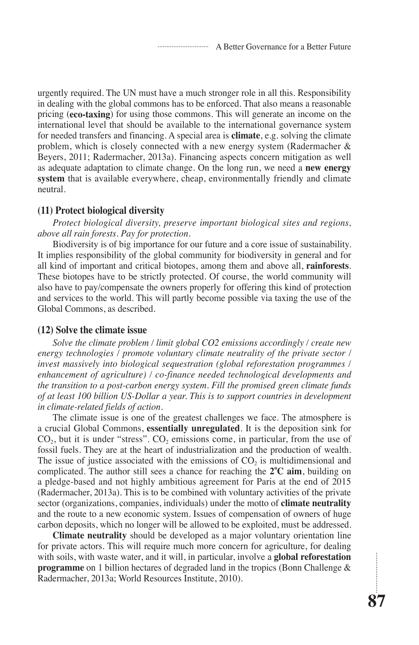urgently required. The UN must have a much stronger role in all this. Responsibility in dealing with the global commons has to be enforced. That also means a reasonable pricing (**eco-taxing**) for using those commons. This will generate an income on the international level that should be available to the international governance system for needed transfers and financing. A special area is **climate**, e.g. solving the climate problem, which is closely connected with a new energy system (Radermacher & Beyers, 2011; Radermacher, 2013a). Financing aspects concern mitigation as well as adequate adaptation to climate change. On the long run, we need a **new energy system** that is available everywhere, cheap, environmentally friendly and climate neutral.

#### **(11) Protect biological diversity**

*Protect biological diversity, preserve important biological sites and regions, above all rain forests. Pay for protection.*

Biodiversity is of big importance for our future and a core issue of sustainability. It implies responsibility of the global community for biodiversity in general and for all kind of important and critical biotopes, among them and above all, **rainforests**. These biotopes have to be strictly protected. Of course, the world community will also have to pay/compensate the owners properly for offering this kind of protection and services to the world. This will partly become possible via taxing the use of the Global Commons, as described.

#### **(12) Solve the climate issue**

*Solve the climate problem / limit global CO2 emissions accordingly / create new energy technologies / promote voluntary climate neutrality of the private sector / invest massively into biological sequestration (global reforestation programmes / enhancement of agriculture) / co-finance needed technological developments and the transition to a post-carbon energy system. Fill the promised green climate funds of at least 100 billion US-Dollar a year. This is to support countries in development in climate-related fields of action.*

The climate issue is one of the greatest challenges we face. The atmosphere is a crucial Global Commons, **essentially unregulated**. It is the deposition sink for  $CO<sub>2</sub>$ , but it is under "stress".  $CO<sub>2</sub>$  emissions come, in particular, from the use of fossil fuels. They are at the heart of industrialization and the production of wealth. The issue of justice associated with the emissions of  $CO<sub>2</sub>$  is multidimensional and complicated. The author still sees a chance for reaching the  $2^{\circ}C$  aim, building on a pledge-based and not highly ambitious agreement for Paris at the end of 2015 (Radermacher, 2013a). This is to be combined with voluntary activities of the private sector (organizations, companies, individuals) under the motto of **climate neutrality** and the route to a new economic system. Issues of compensation of owners of huge carbon deposits, which no longer will be allowed to be exploited, must be addressed.

**Climate neutrality** should be developed as a major voluntary orientation line for private actors. This will require much more concern for agriculture, for dealing with soils, with waste water, and it will, in particular, involve a **global reforestation programme** on 1 billion hectares of degraded land in the tropics (Bonn Challenge & Radermacher, 2013a; World Resources Institute, 2010).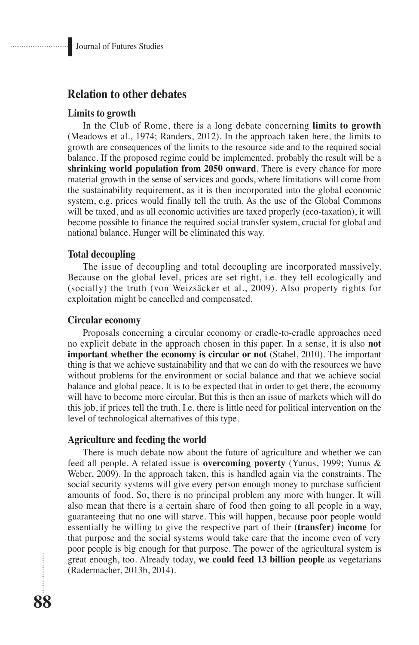# **Relation to other debates**

### **Limits to growth**

In the Club of Rome, there is a long debate concerning **limits to growth**  (Meadows et al., 1974; Randers, 2012). In the approach taken here, the limits to growth are consequences of the limits to the resource side and to the required social balance. If the proposed regime could be implemented, probably the result will be a **shrinking world population from 2050 onward**. There is every chance for more material growth in the sense of services and goods, where limitations will come from the sustainability requirement, as it is then incorporated into the global economic system, e.g. prices would finally tell the truth. As the use of the Global Commons will be taxed, and as all economic activities are taxed properly (eco-taxation), it will become possible to finance the required social transfer system, crucial for global and national balance. Hunger will be eliminated this way.

### **Total decoupling**

The issue of decoupling and total decoupling are incorporated massively. Because on the global level, prices are set right, i.e. they tell ecologically and (socially) the truth (von Weizsäcker et al., 2009). Also property rights for exploitation might be cancelled and compensated.

#### **Circular economy**

Proposals concerning a circular economy or cradle-to-cradle approaches need no explicit debate in the approach chosen in this paper. In a sense, it is also **not important whether the economy is circular or not** (Stahel, 2010). The important thing is that we achieve sustainability and that we can do with the resources we have without problems for the environment or social balance and that we achieve social balance and global peace. It is to be expected that in order to get there, the economy will have to become more circular. But this is then an issue of markets which will do this job, if prices tell the truth. I.e. there is little need for political intervention on the level of technological alternatives of this type.

### **Agriculture and feeding the world**

There is much debate now about the future of agriculture and whether we can feed all people. A related issue is **overcoming poverty** (Yunus, 1999; Yunus & Weber, 2009). In the approach taken, this is handled again via the constraints. The social security systems will give every person enough money to purchase sufficient amounts of food. So, there is no principal problem any more with hunger. It will also mean that there is a certain share of food then going to all people in a way, guaranteeing that no one will starve. This will happen, because poor people would essentially be willing to give the respective part of their **(transfer) income** for that purpose and the social systems would take care that the income even of very poor people is big enough for that purpose. The power of the agricultural system is great enough, too. Already today, **we could feed 13 billion people** as vegetarians (Radermacher, 2013b, 2014).

...............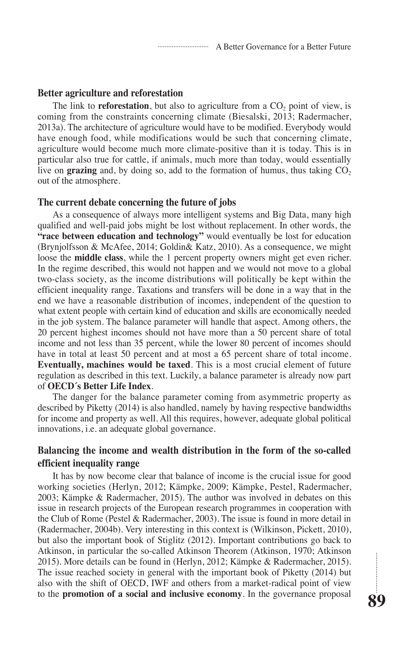### **Better agriculture and reforestation**

The link to **reforestation**, but also to agriculture from a CO<sub>2</sub> point of view, is coming from the constraints concerning climate (Biesalski, 2013; Radermacher, 2013a). The architecture of agriculture would have to be modified. Everybody would have enough food, while modifications would be such that concerning climate, agriculture would become much more climate-positive than it is today. This is in particular also true for cattle, if animals, much more than today, would essentially live on **grazing** and, by doing so, add to the formation of humus, thus taking  $CO<sub>2</sub>$ out of the atmosphere.

#### **The current debate concerning the future of jobs**

As a consequence of always more intelligent systems and Big Data, many high qualified and well-paid jobs might be lost without replacement. In other words, the **"race between education and technology"** would eventually be lost for education (Brynjolfsson & McAfee, 2014; Goldin& Katz, 2010). As a consequence, we might loose the **middle class**, while the 1 percent property owners might get even richer. In the regime described, this would not happen and we would not move to a global two-class society, as the income distributions will politically be kept within the efficient inequality range. Taxations and transfers will be done in a way that in the end we have a reasonable distribution of incomes, independent of the question to what extent people with certain kind of education and skills are economically needed in the job system. The balance parameter will handle that aspect. Among others, the 20 percent highest incomes should not have more than a 50 percent share of total income and not less than 35 percent, while the lower 80 percent of incomes should have in total at least 50 percent and at most a 65 percent share of total income. **Eventually, machines would be taxed**. This is a most crucial element of future regulation as described in this text. Luckily, a balance parameter is already now part of **OECD´s Better Life Index**.

The danger for the balance parameter coming from asymmetric property as described by Piketty (2014) is also handled, namely by having respective bandwidths for income and property as well. All this requires, however, adequate global political innovations, i.e. an adequate global governance.

## **Balancing the income and wealth distribution in the form of the so-called efficient inequality range**

It has by now become clear that balance of income is the crucial issue for good working societies (Herlyn, 2012; Kämpke, 2009; Kämpke, Pestel, Radermacher, 2003; Kämpke & Radermacher, 2015). The author was involved in debates on this issue in research projects of the European research programmes in cooperation with the Club of Rome (Pestel & Radermacher, 2003). The issue is found in more detail in (Radermacher, 2004b). Very interesting in this context is (Wilkinson, Pickett, 2010), but also the important book of Stiglitz (2012). Important contributions go back to Atkinson, in particular the so-called Atkinson Theorem (Atkinson, 1970; Atkinson 2015). More details can be found in (Herlyn, 2012; Kämpke & Radermacher, 2015). The issue reached society in general with the important book of Piketty (2014) but also with the shift of OECD, IWF and others from a market-radical point of view to the **promotion of a social and inclusive economy**. In the governance proposal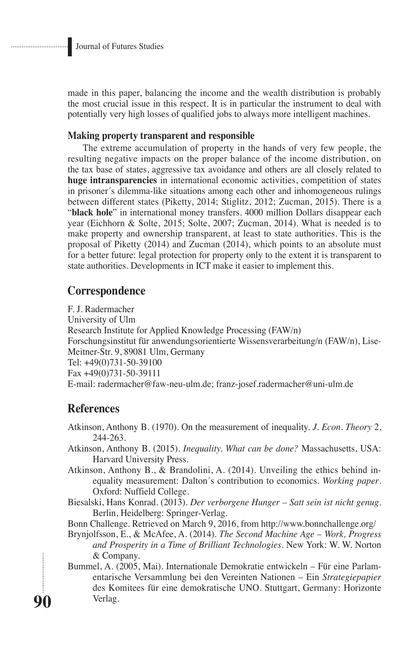made in this paper, balancing the income and the wealth distribution is probably the most crucial issue in this respect. It is in particular the instrument to deal with potentially very high losses of qualified jobs to always more intelligent machines.

### **Making property transparent and responsible**

The extreme accumulation of property in the hands of very few people, the resulting negative impacts on the proper balance of the income distribution, on the tax base of states, aggressive tax avoidance and others are all closely related to **huge intransparencies** in international economic activities, competition of states in prisoner´s dilemma-like situations among each other and inhomogeneous rulings between different states (Piketty, 2014; Stiglitz, 2012; Zucman, 2015). There is a "**black hole**" in international money transfers. 4000 million Dollars disappear each year (Eichhorn & Solte, 2015; Solte, 2007; Zucman, 2014). What is needed is to make property and ownership transparent, at least to state authorities. This is the proposal of Piketty (2014) and Zucman (2014), which points to an absolute must for a better future: legal protection for property only to the extent it is transparent to state authorities. Developments in ICT make it easier to implement this.

### **Correspondence**

F. J. Radermacher University of Ulm Research Institute for Applied Knowledge Processing (FAW/n) Forschungsinstitut für anwendungsorientierte Wissensverarbeitung/n (FAW/n), Lise-Meitner-Str. 9, 89081 Ulm, Germany Tel: +49(0)731-50-39100 Fax +49(0)731-50-39111 E-mail: radermacher@faw-neu-ulm.de; franz-josef.radermacher@uni-ulm.de

# **References**

**90**

- Atkinson, Anthony B. (1970). On the measurement of inequality. *J. Econ. Theory* 2, 244-263.
- Atkinson, Anthony B. (2015). *Inequality. What can be done?* Massachusetts, USA: Harvard University Press.
- Atkinson, Anthony B., & Brandolini, A. (2014). Unveiling the ethics behind inequality measurement: Dalton´s contribution to economics. *Working paper*. Oxford: Nuffield College.
- Biesalski, Hans Konrad. (2013). *Der verborgene Hunger Satt sein ist nicht genug*. Berlin, Heidelberg: Springer-Verlag.

Bonn Challenge. Retrieved on March 9, 2016, from http://www.bonnchallenge.org/

- Brynjolfsson, E., & McAfee, A. (2014). *The Second Machine Age Work, Progress and Prosperity in a Time of Brilliant Technologies*. New York: W. W. Norton & Company.
- Bummel, A. (2005, Mai). Internationale Demokratie entwickeln Für eine Parlamentarische Versammlung bei den Vereinten Nationen – Ein *Strategiepapier* des Komitees für eine demokratische UNO. Stuttgart, Germany: Horizonte Verlag.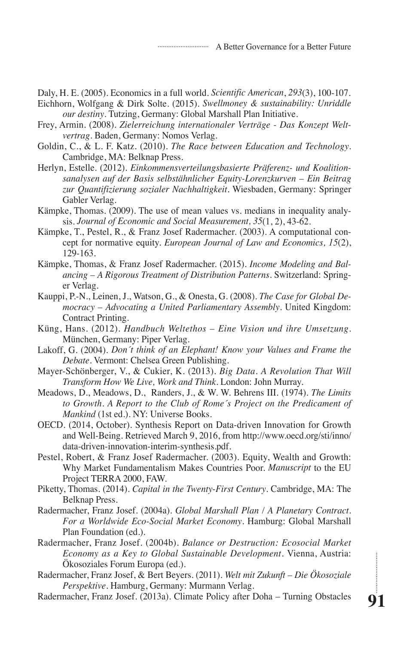A Better Governance for a Better Future

Daly, H. E. (2005). Economics in a full world. *Scientific American*, *293*(3), 100-107. Eichhorn, Wolfgang & Dirk Solte. (2015). *Swellmoney & sustainability: Unriddle* 

*our destiny*. Tutzing, Germany: Global Marshall Plan Initiative.

- Frey, Armin. (2008). *Zielerreichung internationaler Verträge Das Konzept Weltvertrag*. Baden, Germany: Nomos Verlag.
- Goldin, C., & L. F. Katz. (2010). *The Race between Education and Technology*. Cambridge, MA: Belknap Press.
- Herlyn, Estelle. (2012). *Einkommensverteilungsbasierte Präferenz- und Koalitionsanalysen auf der Basis selbstähnlicher Equity-Lorenzkurven – Ein Beitrag zur Quantifizierung sozialer Nachhaltigkeit*. Wiesbaden, Germany: Springer Gabler Verlag.
- Kämpke, Thomas. (2009). The use of mean values vs. medians in inequality analysis. *Journal of Economic and Social Measurement, 35*(1, 2), 43-62.
- Kämpke, T., Pestel, R., & Franz Josef Radermacher. (2003). A computational concept for normative equity. *European Journal of Law and Economics, 15*(2), 129-163.
- Kämpke, Thomas, & Franz Josef Radermacher. (2015). *Income Modeling and Balancing – A Rigorous Treatment of Distribution Patterns*. Switzerland: Springer Verlag.
- Kauppi, P.-N., Leinen, J., Watson, G., & Onesta, G. (2008). *The Case for Global Democracy – Advocating a United Parliamentary Assembly*. United Kingdom: Contract Printing.
- Küng, Hans. (2012). *Handbuch Weltethos Eine Vision und ihre Umsetzung*. München, Germany: Piper Verlag.
- Lakoff, G. (2004). *Don´t think of an Elephant! Know your Values and Frame the Debate.* Vermont: Chelsea Green Publishing.
- Mayer-Schönberger, V., & Cukier, K. (2013). *Big Data. A Revolution That Will Transform How We Live, Work and Think*. London: John Murray.
- Meadows, D., Meadows, D., Randers, J., & W. W. Behrens III. (1974). *The Limits to Growth. A Report to the Club of Rome´s Project on the Predicament of Mankind* (1st ed.). NY: Universe Books.
- OECD. (2014, October). Synthesis Report on Data-driven Innovation for Growth and Well-Being. Retrieved March 9, 2016, from http://www.oecd.org/sti/inno/ data-driven-innovation-interim-synthesis.pdf.
- Pestel, Robert, & Franz Josef Radermacher. (2003). Equity, Wealth and Growth: Why Market Fundamentalism Makes Countries Poor. *Manuscript* to the EU Project TERRA 2000, FAW.
- Piketty, Thomas. (2014). *Capital in the Twenty-First Century*. Cambridge, MA: The Belknap Press.
- Radermacher, Franz Josef. (2004a). *Global Marshall Plan / A Planetary Contract. For a Worldwide Eco-Social Market Economy*. Hamburg: Global Marshall Plan Foundation (ed.).
- Radermacher, Franz Josef. (2004b). *Balance or Destruction: Ecosocial Market Economy as a Key to Global Sustainable Development*. Vienna, Austria: Ökosoziales Forum Europa (ed.).
- Radermacher, Franz Josef, & Bert Beyers. (2011). *Welt mit Zukunft Die Ökosoziale Perspektive*. Hamburg, Germany: Murmann Verlag.
- Radermacher, Franz Josef. (2013a). Climate Policy after Doha Turning Obstacles

**91**